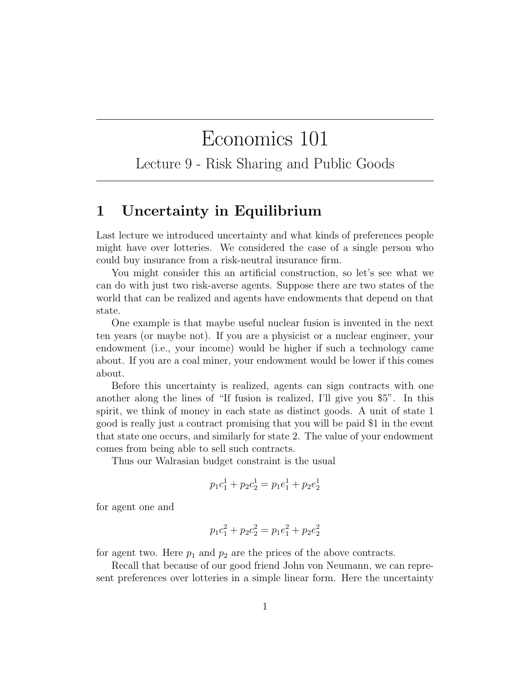## Economics 101

Lecture 9 - Risk Sharing and Public Goods

## 1 Uncertainty in Equilibrium

Last lecture we introduced uncertainty and what kinds of preferences people might have over lotteries. We considered the case of a single person who could buy insurance from a risk-neutral insurance firm.

You might consider this an artificial construction, so let's see what we can do with just two risk-averse agents. Suppose there are two states of the world that can be realized and agents have endowments that depend on that state.

One example is that maybe useful nuclear fusion is invented in the next ten years (or maybe not). If you are a physicist or a nuclear engineer, your endowment (i.e., your income) would be higher if such a technology came about. If you are a coal miner, your endowment would be lower if this comes about.

Before this uncertainty is realized, agents can sign contracts with one another along the lines of "If fusion is realized, I'll give you \$5". In this spirit, we think of money in each state as distinct goods. A unit of state 1 good is really just a contract promising that you will be paid \$1 in the event that state one occurs, and similarly for state 2. The value of your endowment comes from being able to sell such contracts.

Thus our Walrasian budget constraint is the usual

$$
p_1c_1^1 + p_2c_2^1 = p_1e_1^1 + p_2e_2^1
$$

for agent one and

$$
p_1c_1^2 + p_2c_2^2 = p_1e_1^2 + p_2e_2^2
$$

for agent two. Here  $p_1$  and  $p_2$  are the prices of the above contracts.

Recall that because of our good friend John von Neumann, we can represent preferences over lotteries in a simple linear form. Here the uncertainty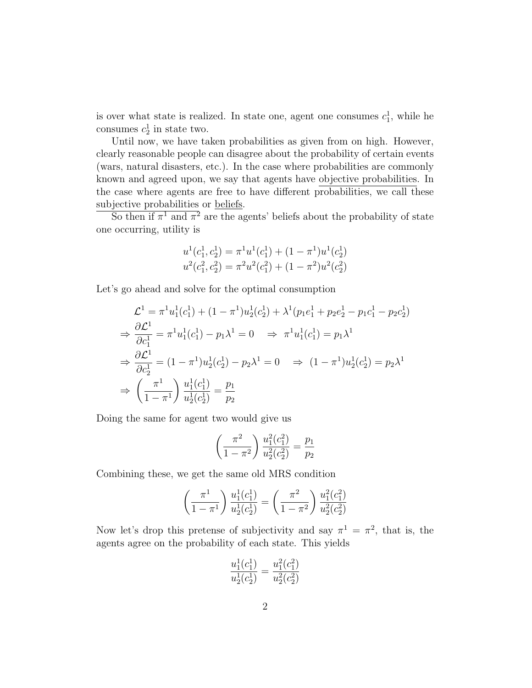is over what state is realized. In state one, agent one consumes  $c_1^1$ , while he consumes  $c_2^1$  in state two.

Until now, we have taken probabilities as given from on high. However, clearly reasonable people can disagree about the probability of certain events (wars, natural disasters, etc.). In the case where probabilities are commonly known and agreed upon, we say that agents have objective probabilities. In the case where agents are free to have different probabilities, we call these subjective probabilities or beliefs.

So then if  $\pi^1$  and  $\pi^2$  are the agents' beliefs about the probability of state one occurring, utility is

$$
u^{1}(c_1^1, c_2^1) = \pi^{1}u^{1}(c_1^1) + (1 - \pi^{1})u^{1}(c_2^1)
$$
  

$$
u^{2}(c_1^2, c_2^2) = \pi^{2}u^{2}(c_1^2) + (1 - \pi^{2})u^{2}(c_2^2)
$$

Let's go ahead and solve for the optimal consumption

$$
\mathcal{L}^{1} = \pi^{1} u_{1}^{1}(c_{1}^{1}) + (1 - \pi^{1}) u_{2}^{1}(c_{2}^{1}) + \lambda^{1}(p_{1}e_{1}^{1} + p_{2}e_{2}^{1} - p_{1}c_{1}^{1} - p_{2}c_{2}^{1})
$$
\n
$$
\Rightarrow \frac{\partial \mathcal{L}^{1}}{\partial c_{1}^{1}} = \pi^{1} u_{1}^{1}(c_{1}^{1}) - p_{1} \lambda^{1} = 0 \Rightarrow \pi^{1} u_{1}^{1}(c_{1}^{1}) = p_{1} \lambda^{1}
$$
\n
$$
\Rightarrow \frac{\partial \mathcal{L}^{1}}{\partial c_{2}^{1}} = (1 - \pi^{1}) u_{2}^{1}(c_{2}^{1}) - p_{2} \lambda^{1} = 0 \Rightarrow (1 - \pi^{1}) u_{2}^{1}(c_{2}^{1}) = p_{2} \lambda^{1}
$$
\n
$$
\Rightarrow \left(\frac{\pi^{1}}{1 - \pi^{1}}\right) \frac{u_{1}^{1}(c_{1}^{1})}{u_{2}^{1}(c_{2}^{1})} = \frac{p_{1}}{p_{2}}
$$

Doing the same for agent two would give us

$$
\left(\frac{\pi^2}{1-\pi^2}\right) \frac{u_1^2(c_1^2)}{u_2^2(c_2^2)} = \frac{p_1}{p_2}
$$

Combining these, we get the same old MRS condition

$$
\left(\frac{\pi^1}{1-\pi^1}\right) \frac{u_1^1(c_1^1)}{u_2^1(c_2^1)} = \left(\frac{\pi^2}{1-\pi^2}\right) \frac{u_1^2(c_1^2)}{u_2^2(c_2^2)}
$$

Now let's drop this pretense of subjectivity and say  $\pi^1 = \pi^2$ , that is, the agents agree on the probability of each state. This yields

$$
\frac{u_1^1(c_1^1)}{u_2^1(c_2^1)} = \frac{u_1^2(c_1^2)}{u_2^2(c_2^2)}
$$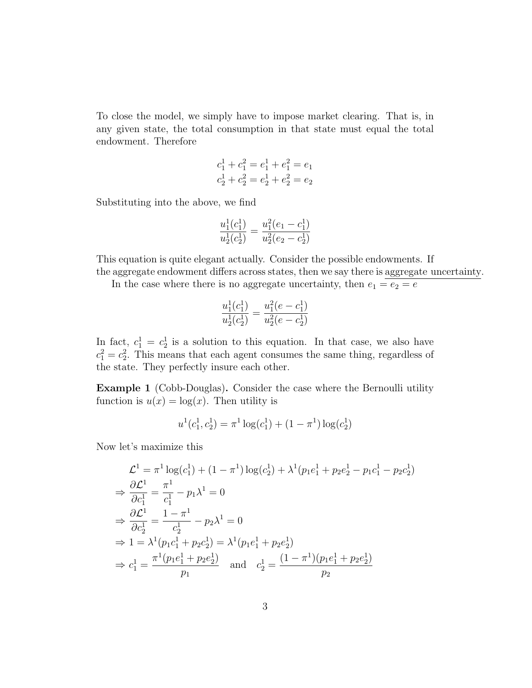To close the model, we simply have to impose market clearing. That is, in any given state, the total consumption in that state must equal the total endowment. Therefore

$$
c_1^1 + c_1^2 = e_1^1 + e_1^2 = e_1
$$
  

$$
c_2^1 + c_2^2 = e_2^1 + e_2^2 = e_2
$$

Substituting into the above, we find

$$
\frac{u_1^1(c_1^1)}{u_2^1(c_2^1)} = \frac{u_1^2(e_1 - c_1^1)}{u_2^2(e_2 - c_2^1)}
$$

This equation is quite elegant actually. Consider the possible endowments. If the aggregate endowment differs across states, then we say there is aggregate uncertainty.

In the case where there is no aggregate uncertainty, then  $e_1 = e_2 = e$ 

$$
\frac{u_1^1(c_1^1)}{u_2^1(c_2^1)} = \frac{u_1^2(e - c_1^1)}{u_2^2(e - c_2^1)}
$$

In fact,  $c_1^1 = c_2^1$  is a solution to this equation. In that case, we also have  $c_1^2 = c_2^2$ . This means that each agent consumes the same thing, regardless of the state. They perfectly insure each other.

Example 1 (Cobb-Douglas). Consider the case where the Bernoulli utility function is  $u(x) = \log(x)$ . Then utility is

$$
u^{1}(c_{1}^{1}, c_{2}^{1}) = \pi^{1} \log(c_{1}^{1}) + (1 - \pi^{1}) \log(c_{2}^{1})
$$

Now let's maximize this

$$
\mathcal{L}^{1} = \pi^{1} \log(c_{1}^{1}) + (1 - \pi^{1}) \log(c_{2}^{1}) + \lambda^{1} (p_{1}e_{1}^{1} + p_{2}e_{2}^{1} - p_{1}c_{1}^{1} - p_{2}c_{2}^{1})
$$
  
\n
$$
\Rightarrow \frac{\partial \mathcal{L}^{1}}{\partial c_{1}^{1}} = \frac{\pi^{1}}{c_{1}^{1}} - p_{1}\lambda^{1} = 0
$$
  
\n
$$
\Rightarrow \frac{\partial \mathcal{L}^{1}}{\partial c_{2}^{1}} = \frac{1 - \pi^{1}}{c_{2}^{1}} - p_{2}\lambda^{1} = 0
$$
  
\n
$$
\Rightarrow 1 = \lambda^{1} (p_{1}c_{1}^{1} + p_{2}c_{2}^{1}) = \lambda^{1} (p_{1}e_{1}^{1} + p_{2}e_{2}^{1})
$$
  
\n
$$
\Rightarrow c_{1}^{1} = \frac{\pi^{1} (p_{1}e_{1}^{1} + p_{2}e_{2}^{1})}{p_{1}} \quad \text{and} \quad c_{2}^{1} = \frac{(1 - \pi^{1}) (p_{1}e_{1}^{1} + p_{2}e_{2}^{1})}{p_{2}}
$$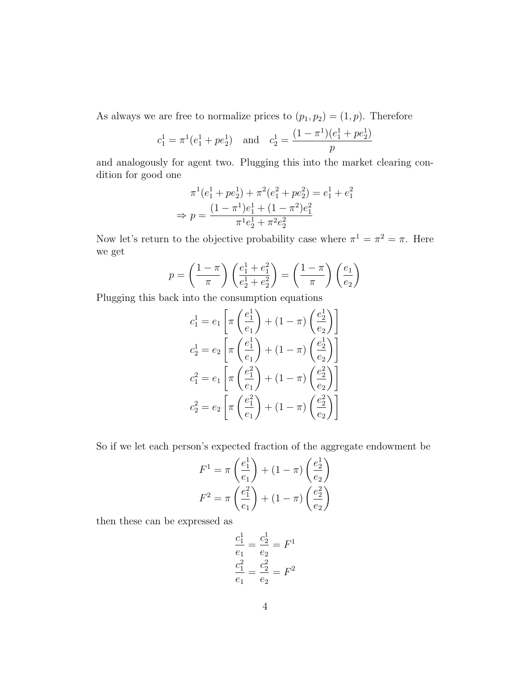As always we are free to normalize prices to  $(p_1, p_2) = (1, p)$ . Therefore

$$
c_1^1 = \pi^1(e_1^1 + pe_2^1)
$$
 and  $c_2^1 = \frac{(1 - \pi^1)(e_1^1 + pe_2^1)}{p}$ 

and analogously for agent two. Plugging this into the market clearing condition for good one

$$
\pi^{1}(e_1^1 + pe_2^1) + \pi^{2}(e_1^2 + pe_2^2) = e_1^1 + e_1^2
$$
  
\n
$$
\Rightarrow p = \frac{(1 - \pi^{1})e_1^1 + (1 - \pi^{2})e_1^2}{\pi^{1}e_2^1 + \pi^{2}e_2^2}
$$

Now let's return to the objective probability case where  $\pi^1 = \pi^2 = \pi$ . Here we get

$$
p = \left(\frac{1-\pi}{\pi}\right) \left(\frac{e_1^1 + e_1^2}{e_2^1 + e_2^2}\right) = \left(\frac{1-\pi}{\pi}\right) \left(\frac{e_1}{e_2}\right)
$$

Plugging this back into the consumption equations

$$
c_1^1 = e_1 \left[ \pi \left( \frac{e_1^1}{e_1} \right) + (1 - \pi) \left( \frac{e_2^1}{e_2} \right) \right]
$$
  
\n
$$
c_2^1 = e_2 \left[ \pi \left( \frac{e_1^1}{e_1} \right) + (1 - \pi) \left( \frac{e_2^1}{e_2} \right) \right]
$$
  
\n
$$
c_1^2 = e_1 \left[ \pi \left( \frac{e_1^2}{e_1} \right) + (1 - \pi) \left( \frac{e_2^2}{e_2} \right) \right]
$$
  
\n
$$
c_2^2 = e_2 \left[ \pi \left( \frac{e_1^2}{e_1} \right) + (1 - \pi) \left( \frac{e_2^2}{e_2} \right) \right]
$$

So if we let each person's expected fraction of the aggregate endowment be

$$
F^{1} = \pi \left(\frac{e_1^{1}}{e_1}\right) + (1 - \pi) \left(\frac{e_2^{1}}{e_2}\right)
$$

$$
F^{2} = \pi \left(\frac{e_1^{2}}{e_1}\right) + (1 - \pi) \left(\frac{e_2^{2}}{e_2}\right)
$$

then these can be expressed as

$$
\frac{c_1^1}{e_1} = \frac{c_2^1}{e_2} = F^1
$$

$$
\frac{c_1^2}{e_1} = \frac{c_2^2}{e_2} = F^2
$$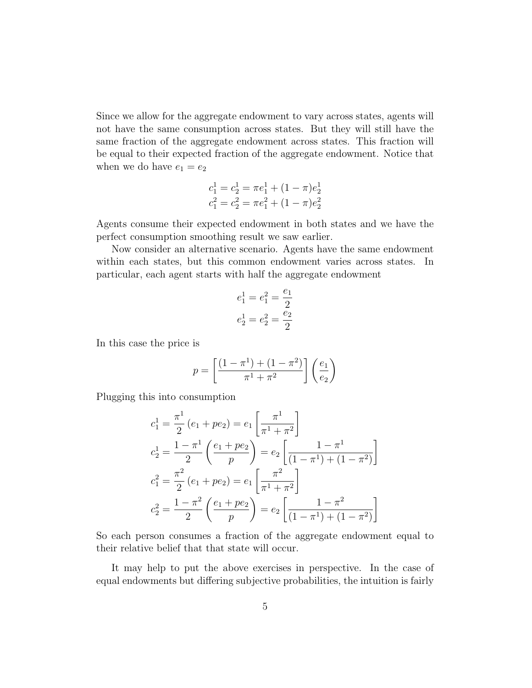Since we allow for the aggregate endowment to vary across states, agents will not have the same consumption across states. But they will still have the same fraction of the aggregate endowment across states. This fraction will be equal to their expected fraction of the aggregate endowment. Notice that when we do have  $e_1 = e_2$ 

$$
c_1^1 = c_2^1 = \pi e_1^1 + (1 - \pi)e_2^1
$$
  

$$
c_1^2 = c_2^2 = \pi e_1^2 + (1 - \pi)e_2^2
$$

Agents consume their expected endowment in both states and we have the perfect consumption smoothing result we saw earlier.

Now consider an alternative scenario. Agents have the same endowment within each states, but this common endowment varies across states. In particular, each agent starts with half the aggregate endowment

$$
e_1^1 = e_1^2 = \frac{e_1}{2}
$$

$$
e_2^1 = e_2^2 = \frac{e_2}{2}
$$

In this case the price is

$$
p = \left[ \frac{(1 - \pi^{1}) + (1 - \pi^{2})}{\pi^{1} + \pi^{2}} \right] \left( \frac{e_{1}}{e_{2}} \right)
$$

Plugging this into consumption

$$
c_1^1 = \frac{\pi^1}{2} (e_1 + pe_2) = e_1 \left[ \frac{\pi^1}{\pi^1 + \pi^2} \right]
$$
  
\n
$$
c_2^1 = \frac{1 - \pi^1}{2} \left( \frac{e_1 + pe_2}{p} \right) = e_2 \left[ \frac{1 - \pi^1}{(1 - \pi^1) + (1 - \pi^2)} \right]
$$
  
\n
$$
c_1^2 = \frac{\pi^2}{2} (e_1 + pe_2) = e_1 \left[ \frac{\pi^2}{\pi^1 + \pi^2} \right]
$$
  
\n
$$
c_2^2 = \frac{1 - \pi^2}{2} \left( \frac{e_1 + pe_2}{p} \right) = e_2 \left[ \frac{1 - \pi^2}{(1 - \pi^1) + (1 - \pi^2)} \right]
$$

So each person consumes a fraction of the aggregate endowment equal to their relative belief that that state will occur.

It may help to put the above exercises in perspective. In the case of equal endowments but differing subjective probabilities, the intuition is fairly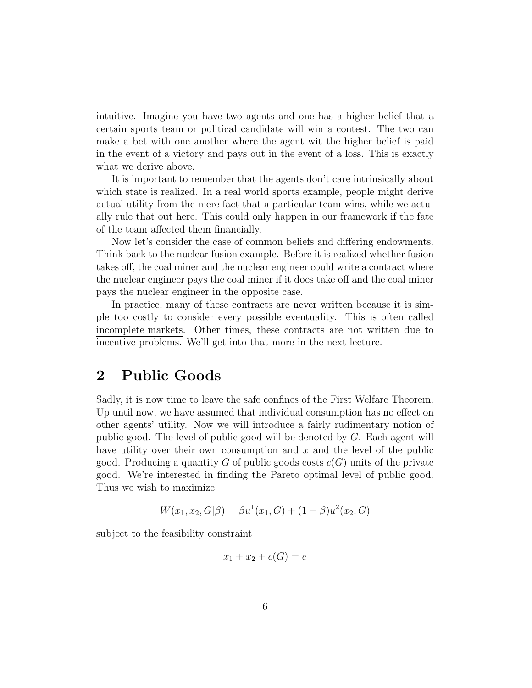intuitive. Imagine you have two agents and one has a higher belief that a certain sports team or political candidate will win a contest. The two can make a bet with one another where the agent wit the higher belief is paid in the event of a victory and pays out in the event of a loss. This is exactly what we derive above.

It is important to remember that the agents don't care intrinsically about which state is realized. In a real world sports example, people might derive actual utility from the mere fact that a particular team wins, while we actually rule that out here. This could only happen in our framework if the fate of the team affected them financially.

Now let's consider the case of common beliefs and differing endowments. Think back to the nuclear fusion example. Before it is realized whether fusion takes off, the coal miner and the nuclear engineer could write a contract where the nuclear engineer pays the coal miner if it does take off and the coal miner pays the nuclear engineer in the opposite case.

In practice, many of these contracts are never written because it is simple too costly to consider every possible eventuality. This is often called incomplete markets. Other times, these contracts are not written due to incentive problems. We'll get into that more in the next lecture.

## 2 Public Goods

Sadly, it is now time to leave the safe confines of the First Welfare Theorem. Up until now, we have assumed that individual consumption has no effect on other agents' utility. Now we will introduce a fairly rudimentary notion of public good. The level of public good will be denoted by G. Each agent will have utility over their own consumption and  $x$  and the level of the public good. Producing a quantity G of public goods costs  $c(G)$  units of the private good. We're interested in finding the Pareto optimal level of public good. Thus we wish to maximize

$$
W(x_1, x_2, G|\beta) = \beta u^{1}(x_1, G) + (1 - \beta)u^{2}(x_2, G)
$$

subject to the feasibility constraint

$$
x_1 + x_2 + c(G) = e
$$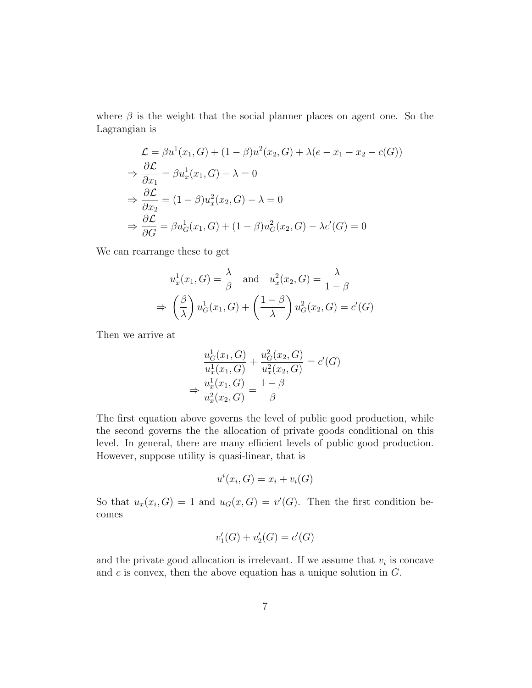where  $\beta$  is the weight that the social planner places on agent one. So the Lagrangian is

$$
\mathcal{L} = \beta u^1(x_1, G) + (1 - \beta)u^2(x_2, G) + \lambda(e - x_1 - x_2 - c(G))
$$
  
\n
$$
\Rightarrow \frac{\partial \mathcal{L}}{\partial x_1} = \beta u_x^1(x_1, G) - \lambda = 0
$$
  
\n
$$
\Rightarrow \frac{\partial \mathcal{L}}{\partial x_2} = (1 - \beta)u_x^2(x_2, G) - \lambda = 0
$$
  
\n
$$
\Rightarrow \frac{\partial \mathcal{L}}{\partial G} = \beta u_G^1(x_1, G) + (1 - \beta)u_G^2(x_2, G) - \lambda c'(G) = 0
$$

We can rearrange these to get

$$
u_x^1(x_1, G) = \frac{\lambda}{\beta} \text{ and } u_x^2(x_2, G) = \frac{\lambda}{1 - \beta}
$$

$$
\Rightarrow \left(\frac{\beta}{\lambda}\right) u_G^1(x_1, G) + \left(\frac{1 - \beta}{\lambda}\right) u_G^2(x_2, G) = c'(G)
$$

Then we arrive at

$$
\frac{u_G^1(x_1, G)}{u_x^1(x_1, G)} + \frac{u_G^2(x_2, G)}{u_x^2(x_2, G)} = c'(G)
$$
  

$$
\Rightarrow \frac{u_x^1(x_1, G)}{u_x^2(x_2, G)} = \frac{1 - \beta}{\beta}
$$

The first equation above governs the level of public good production, while the second governs the the allocation of private goods conditional on this level. In general, there are many efficient levels of public good production. However, suppose utility is quasi-linear, that is

$$
u^i(x_i, G) = x_i + v_i(G)
$$

So that  $u_x(x_i, G) = 1$  and  $u_G(x, G) = v'(G)$ . Then the first condition becomes

$$
v_1'(G) + v_2'(G) = c'(G)
$$

and the private good allocation is irrelevant. If we assume that  $v_i$  is concave and  $c$  is convex, then the above equation has a unique solution in  $G$ .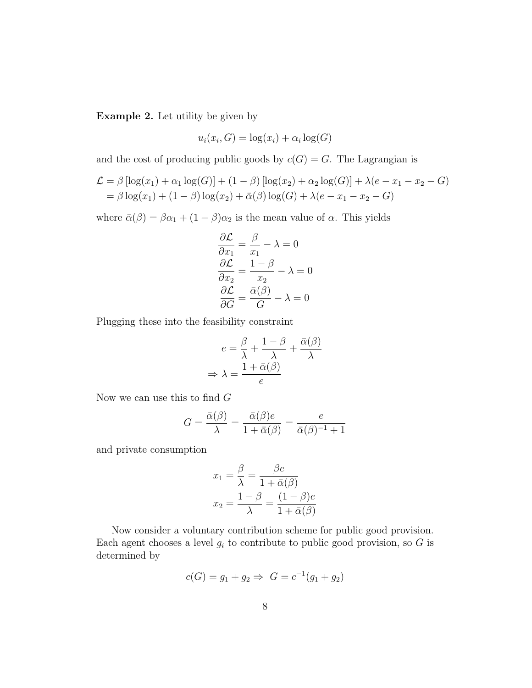Example 2. Let utility be given by

$$
u_i(x_i, G) = \log(x_i) + \alpha_i \log(G)
$$

and the cost of producing public goods by  $c(G) = G$ . The Lagrangian is

$$
\mathcal{L} = \beta [\log(x_1) + \alpha_1 \log(G)] + (1 - \beta) [\log(x_2) + \alpha_2 \log(G)] + \lambda(e - x_1 - x_2 - G)
$$
  
=  $\beta \log(x_1) + (1 - \beta) \log(x_2) + \bar{\alpha}(\beta) \log(G) + \lambda(e - x_1 - x_2 - G)$ 

where  $\bar{\alpha}(\beta) = \beta \alpha_1 + (1 - \beta) \alpha_2$  is the mean value of  $\alpha$ . This yields

$$
\frac{\partial \mathcal{L}}{\partial x_1} = \frac{\beta}{x_1} - \lambda = 0
$$

$$
\frac{\partial \mathcal{L}}{\partial x_2} = \frac{1 - \beta}{x_2} - \lambda = 0
$$

$$
\frac{\partial \mathcal{L}}{\partial G} = \frac{\bar{\alpha}(\beta)}{G} - \lambda = 0
$$

Plugging these into the feasibility constraint

$$
e = \frac{\beta}{\lambda} + \frac{1 - \beta}{\lambda} + \frac{\bar{\alpha}(\beta)}{\lambda}
$$

$$
\Rightarrow \lambda = \frac{1 + \bar{\alpha}(\beta)}{e}
$$

Now we can use this to find  $G$ 

$$
G = \frac{\bar{\alpha}(\beta)}{\lambda} = \frac{\bar{\alpha}(\beta)e}{1 + \bar{\alpha}(\beta)} = \frac{e}{\bar{\alpha}(\beta)^{-1} + 1}
$$

and private consumption

$$
x_1 = \frac{\beta}{\lambda} = \frac{\beta e}{1 + \bar{\alpha}(\beta)}
$$

$$
x_2 = \frac{1 - \beta}{\lambda} = \frac{(1 - \beta)e}{1 + \bar{\alpha}(\beta)}
$$

Now consider a voluntary contribution scheme for public good provision. Each agent chooses a level  $g_i$  to contribute to public good provision, so G is determined by

$$
c(G) = g_1 + g_2 \Rightarrow G = c^{-1}(g_1 + g_2)
$$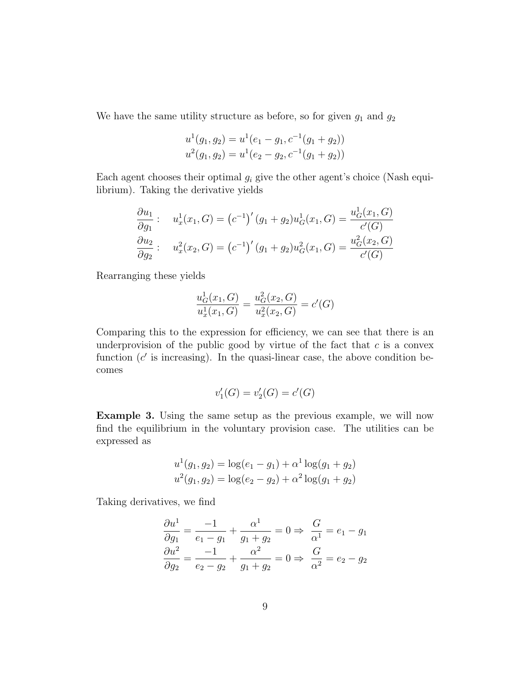We have the same utility structure as before, so for given  $g_1$  and  $g_2$ 

$$
u^{1}(g_{1}, g_{2}) = u^{1}(e_{1} - g_{1}, c^{-1}(g_{1} + g_{2}))
$$
  

$$
u^{2}(g_{1}, g_{2}) = u^{1}(e_{2} - g_{2}, c^{-1}(g_{1} + g_{2}))
$$

Each agent chooses their optimal  $q_i$  give the other agent's choice (Nash equilibrium). Taking the derivative yields

$$
\frac{\partial u_1}{\partial g_1} : \quad u_x^1(x_1, G) = (c^{-1})'(g_1 + g_2)u_G^1(x_1, G) = \frac{u_G^1(x_1, G)}{c'(G)}
$$
\n
$$
\frac{\partial u_2}{\partial g_2} : \quad u_x^2(x_2, G) = (c^{-1})'(g_1 + g_2)u_G^2(x_1, G) = \frac{u_G^2(x_2, G)}{c'(G)}
$$

Rearranging these yields

$$
\frac{u_G^1(x_1, G)}{u_x^1(x_1, G)} = \frac{u_G^2(x_2, G)}{u_x^2(x_2, G)} = c'(G)
$$

Comparing this to the expression for efficiency, we can see that there is an underprovision of the public good by virtue of the fact that  $c$  is a convex function  $(c'$  is increasing). In the quasi-linear case, the above condition becomes

$$
v_1'(G) = v_2'(G) = c'(G)
$$

Example 3. Using the same setup as the previous example, we will now find the equilibrium in the voluntary provision case. The utilities can be expressed as

$$
u^{1}(g_{1}, g_{2}) = \log(e_{1} - g_{1}) + \alpha^{1} \log(g_{1} + g_{2})
$$

$$
u^{2}(g_{1}, g_{2}) = \log(e_{2} - g_{2}) + \alpha^{2} \log(g_{1} + g_{2})
$$

Taking derivatives, we find

$$
\frac{\partial u^1}{\partial g_1} = \frac{-1}{e_1 - g_1} + \frac{\alpha^1}{g_1 + g_2} = 0 \Rightarrow \frac{G}{\alpha^1} = e_1 - g_1
$$
  

$$
\frac{\partial u^2}{\partial g_2} = \frac{-1}{e_2 - g_2} + \frac{\alpha^2}{g_1 + g_2} = 0 \Rightarrow \frac{G}{\alpha^2} = e_2 - g_2
$$